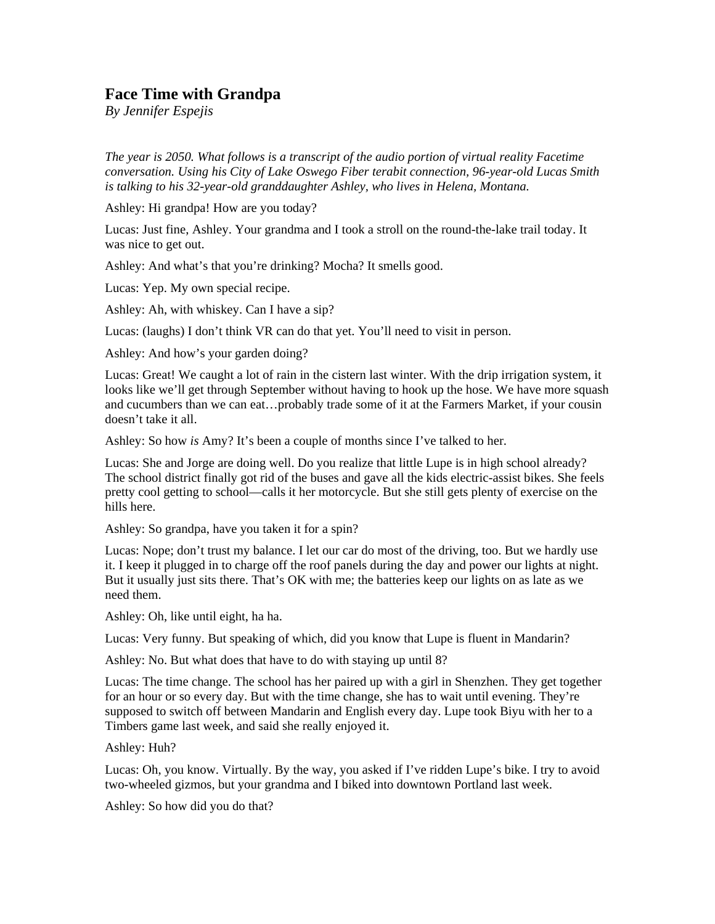## **Face Time with Grandpa**

*By Jennifer Espejis* 

*The year is 2050. What follows is a transcript of the audio portion of virtual reality Facetime conversation. Using his City of Lake Oswego Fiber terabit connection, 96-year-old Lucas Smith is talking to his 32-year-old granddaughter Ashley, who lives in Helena, Montana.* 

Ashley: Hi grandpa! How are you today?

Lucas: Just fine, Ashley. Your grandma and I took a stroll on the round-the-lake trail today. It was nice to get out.

Ashley: And what's that you're drinking? Mocha? It smells good.

Lucas: Yep. My own special recipe.

Ashley: Ah, with whiskey. Can I have a sip?

Lucas: (laughs) I don't think VR can do that yet. You'll need to visit in person.

Ashley: And how's your garden doing?

Lucas: Great! We caught a lot of rain in the cistern last winter. With the drip irrigation system, it looks like we'll get through September without having to hook up the hose. We have more squash and cucumbers than we can eat…probably trade some of it at the Farmers Market, if your cousin doesn't take it all.

Ashley: So how *is* Amy? It's been a couple of months since I've talked to her.

Lucas: She and Jorge are doing well. Do you realize that little Lupe is in high school already? The school district finally got rid of the buses and gave all the kids electric-assist bikes. She feels pretty cool getting to school—calls it her motorcycle. But she still gets plenty of exercise on the hills here.

Ashley: So grandpa, have you taken it for a spin?

Lucas: Nope; don't trust my balance. I let our car do most of the driving, too. But we hardly use it. I keep it plugged in to charge off the roof panels during the day and power our lights at night. But it usually just sits there. That's OK with me; the batteries keep our lights on as late as we need them.

Ashley: Oh, like until eight, ha ha.

Lucas: Very funny. But speaking of which, did you know that Lupe is fluent in Mandarin?

Ashley: No. But what does that have to do with staying up until 8?

Lucas: The time change. The school has her paired up with a girl in Shenzhen. They get together for an hour or so every day. But with the time change, she has to wait until evening. They're supposed to switch off between Mandarin and English every day. Lupe took Biyu with her to a Timbers game last week, and said she really enjoyed it.

Ashley: Huh?

Lucas: Oh, you know. Virtually. By the way, you asked if I've ridden Lupe's bike. I try to avoid two-wheeled gizmos, but your grandma and I biked into downtown Portland last week.

Ashley: So how did you do that?